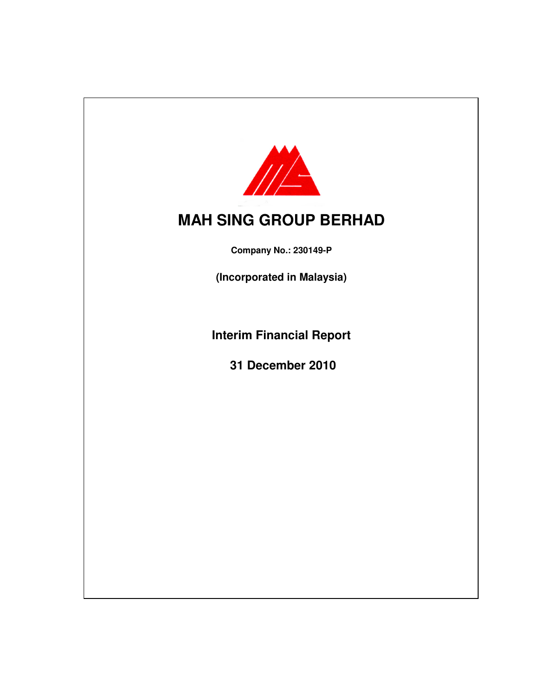

# **MAH SING GROUP BERHAD**

**Company No.: 230149-P**

**(Incorporated in Malaysia)**

**Interim Financial Report**

**31 December 2010**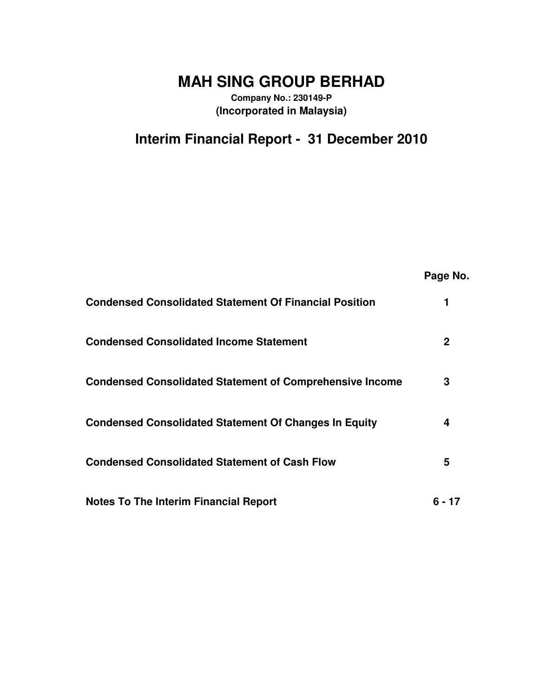# **MAH SING GROUP BERHAD**

**Company No.: 230149-P (Incorporated in Malaysia)**

# **Interim Financial Report - 31 December 2010**

|                                                                 | Page No. |
|-----------------------------------------------------------------|----------|
| <b>Condensed Consolidated Statement Of Financial Position</b>   |          |
| <b>Condensed Consolidated Income Statement</b>                  | 2        |
| <b>Condensed Consolidated Statement of Comprehensive Income</b> | 3        |
| <b>Condensed Consolidated Statement Of Changes In Equity</b>    | 4        |
| <b>Condensed Consolidated Statement of Cash Flow</b>            | 5        |
| <b>Notes To The Interim Financial Report</b>                    | 6 - 17   |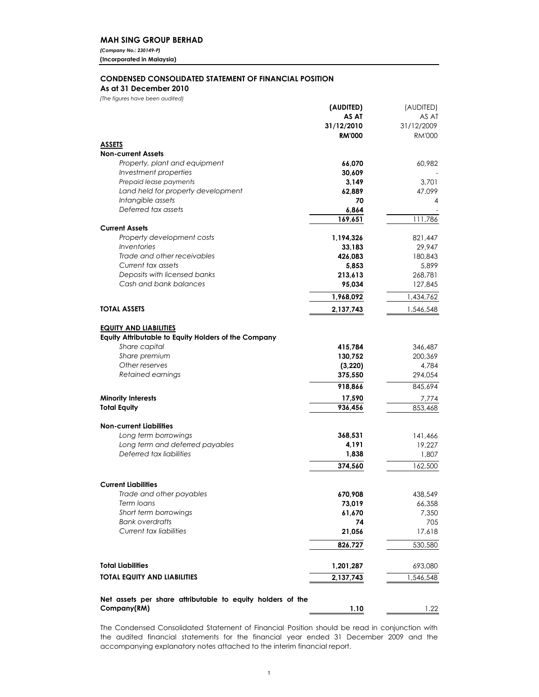### **MAH SING GROUP BERHAD**

(Company No.: 230149-P) (Incorporated in Malaysia)

### **CONDENSED CONSOLIDATED STATEMENT OF FINANCIAL POSITION**

### As at 31 December 2010

(The figures have been audited)

|                                                                                       | (AUDITED)      | (AUDITED)       |
|---------------------------------------------------------------------------------------|----------------|-----------------|
|                                                                                       | AS AT          | AS AT           |
|                                                                                       | 31/12/2010     | 31/12/2009      |
|                                                                                       | <b>RM'000</b>  | <b>RM'000</b>   |
| <b>ASSETS</b>                                                                         |                |                 |
| <b>Non-current Assets</b>                                                             |                |                 |
| Property, plant and equipment                                                         | 66,070         | 60,982          |
| Investment properties                                                                 | 30,609         |                 |
| Prepaid lease payments                                                                | 3,149          | 3,701           |
| Land held for property development                                                    | 62,889         | 47,099          |
| Intangible assets                                                                     | 70             | 4               |
| Deferred tax assets                                                                   | 6,864          |                 |
| <b>Current Assets</b>                                                                 | 169,651        | 111,786         |
| Property development costs                                                            | 1,194,326      | 821,447         |
| <i><u><b>Inventories</b></u></i>                                                      | 33,183         | 29,947          |
| Trade and other receivables                                                           | 426,083        | 180,843         |
| Current tax assets                                                                    | 5,853          | 5,899           |
| Deposits with licensed banks                                                          | 213,613        | 268,781         |
| Cash and bank balances                                                                | 95,034         | 127,845         |
|                                                                                       | 1,968,092      | 1,434,762       |
| <b>TOTAL ASSETS</b>                                                                   | 2,137,743      | 1,546,548       |
|                                                                                       |                |                 |
| <b>EQUITY AND LIABILITIES</b><br>Equity Attributable to Equity Holders of the Company |                |                 |
| Share capital                                                                         | 415,784        | 346,487         |
| Share premium                                                                         | 130,752        | 200,369         |
| Other reserves                                                                        | (3,220)        | 4,784           |
| Retained earnings                                                                     | 375,550        | 294,054         |
|                                                                                       | 918,866        | 845,694         |
| <b>Minority Interests</b>                                                             | 17,590         | 7,774           |
| <b>Total Equity</b>                                                                   | 936,456        | 853,468         |
|                                                                                       |                |                 |
| <b>Non-current Liabilities</b>                                                        |                |                 |
| Long term borrowings<br>Long term and deferred payables                               | 368,531        | 141,466         |
| Deferred tax liabilities                                                              | 4,191<br>1,838 | 19,227<br>1,807 |
|                                                                                       |                |                 |
|                                                                                       | 374,560        | 162,500         |
| <b>Current Liabilities</b>                                                            |                |                 |
| Trade and other payables                                                              | 670,908        | 438,549         |
| Term loans                                                                            | 73,019         | 66,358          |
| Short term borrowings                                                                 | 61,670         | 7,350           |
| <b>Bank overdrafts</b>                                                                | 74             | 705             |
| Current tax liabilities                                                               | 21,056         | 17,618          |
|                                                                                       | 826,727        | 530,580         |
|                                                                                       |                |                 |
| <b>Total Liabilities</b>                                                              | 1,201,287      | 693,080         |
| <b>TOTAL EQUITY AND LIABILITIES</b>                                                   | 2,137,743      | 1,546,548       |
| Net assets per share attributable to equity holders of the                            |                |                 |
| Company(RM)                                                                           | 1.10           | 1.22            |

The Condensed Consolidated Statement of Financial Position should be read in conjunction with the audited financial statements for the financial year ended 31 December 2009 and the accompanying explanatory notes attached to the interim financial report.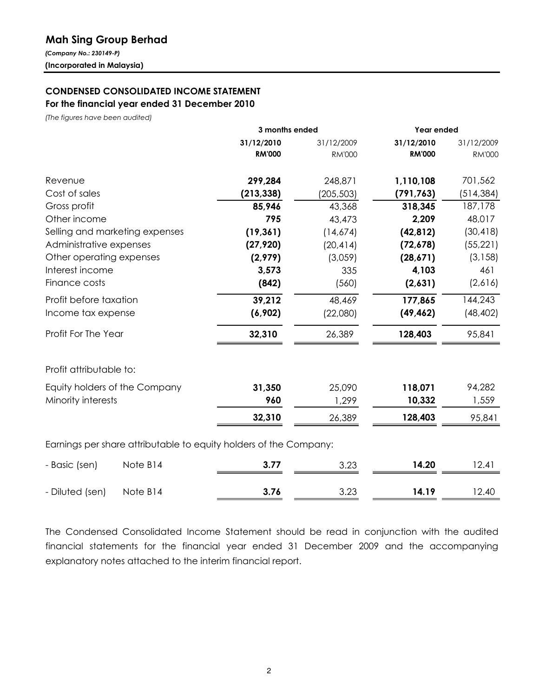## **Mah Sing Group Berhad**

(Company No.: 230149-P) (Incorporated in Malaysia)

## **CONDENSED CONSOLIDATED INCOME STATEMENT** For the financial year ended 31 December 2010

(The figures have been audited)

|                                                                   | 3 months ended |               | Year ended    |               |
|-------------------------------------------------------------------|----------------|---------------|---------------|---------------|
|                                                                   | 31/12/2010     | 31/12/2009    | 31/12/2010    | 31/12/2009    |
|                                                                   | <b>RM'000</b>  | <b>RM'000</b> | <b>RM'000</b> | <b>RM'000</b> |
| Revenue                                                           | 299,284        | 248,871       | 1,110,108     | 701,562       |
| Cost of sales                                                     | (213, 338)     | (205, 503)    | (791, 763)    | (514, 384)    |
| Gross profit                                                      | 85,946         | 43,368        | 318,345       | 187,178       |
| Other income                                                      | 795            | 43,473        | 2,209         | 48,017        |
| Selling and marketing expenses                                    | (19, 361)      | (14,674)      | (42, 812)     | (30, 418)     |
| Administrative expenses                                           | (27, 920)      | (20, 414)     | (72, 678)     | (55, 221)     |
| Other operating expenses                                          | (2,979)        | (3,059)       | (28,671)      | (3, 158)      |
| Interest income                                                   | 3,573          | 335           | 4,103         | 461           |
| Finance costs                                                     | (842)          | (560)         | (2,631)       | (2,616)       |
| Profit before taxation                                            | 39,212         | 48,469        | 177,865       | 144,243       |
| Income tax expense                                                | (6,902)        | (22,080)      | (49, 462)     | (48, 402)     |
| Profit For The Year                                               | 32,310         | 26,389        | 128,403       | 95,841        |
| Profit attributable to:                                           |                |               |               |               |
| Equity holders of the Company                                     | 31,350         | 25,090        | 118,071       | 94,282        |
| Minority interests                                                | 960            | 1,299         | 10,332        | 1,559         |
|                                                                   | 32,310         | 26,389        | 128,403       | 95,841        |
| Earnings per share attributable to equity holders of the Company: |                |               |               |               |
| Note B14<br>- Basic (sen)                                         | 3.77           | 3.23          | 14.20         | 12.41         |
|                                                                   |                |               |               |               |

| - Diluted (sen) Note B14 |  | 14.19 | l 2.40 |
|--------------------------|--|-------|--------|
|                          |  |       |        |

The Condensed Consolidated Income Statement should be read in conjunction with the audited financial statements for the financial year ended 31 December 2009 and the accompanying explanatory notes attached to the interim financial report.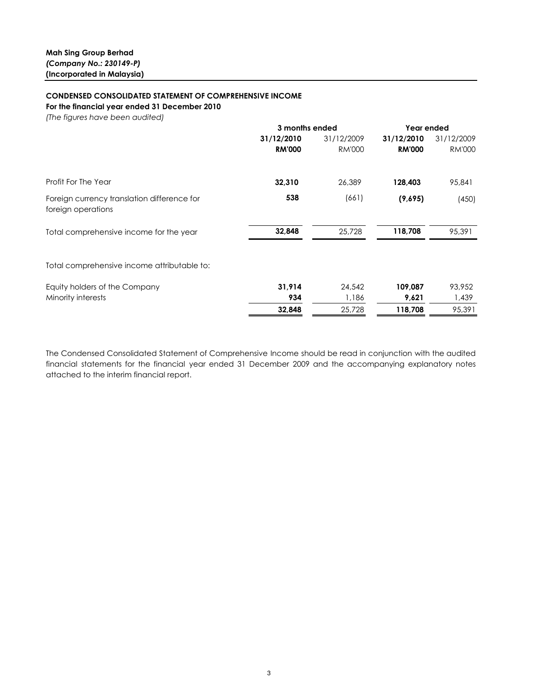### **CONDENSED CONSOLIDATED STATEMENT OF COMPREHENSIVE INCOME**

For the financial year ended 31 December 2010

(The figures have been audited)

|                                                                   |               | 3 months ended |               | Year ended    |
|-------------------------------------------------------------------|---------------|----------------|---------------|---------------|
|                                                                   | 31/12/2010    | 31/12/2009     | 31/12/2010    | 31/12/2009    |
|                                                                   | <b>RM'000</b> | <b>RM'000</b>  | <b>RM'000</b> | <b>RM'000</b> |
| Profit For The Year                                               | 32,310        | 26,389         | 128,403       | 95,841        |
| Foreign currency translation difference for<br>foreign operations | 538           | (661)          | (9,695)       | (450)         |
| Total comprehensive income for the year                           | 32,848        | 25,728         | 118,708       | 95,391        |
| Total comprehensive income attributable to:                       |               |                |               |               |
| Equity holders of the Company                                     | 31,914        | 24,542         | 109,087       | 93,952        |
| Minority interests                                                | 934           | 1,186          | 9,621         | 1,439         |
|                                                                   | 32,848        | 25,728         | 118,708       | 95,391        |

The Condensed Consolidated Statement of Comprehensive Income should be read in conjunction with the audited financial statements for the financial year ended 31 December 2009 and the accompanying explanatory notes attached to the interim financial report.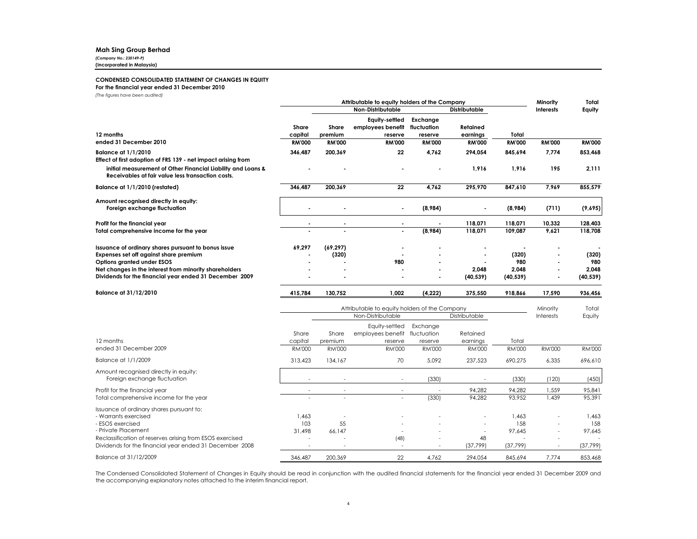### **Mah Sing Group Berhad**

(Company No.: 230149-P)

(Incorporated in Malaysia)

### **CONDENSED CONSOLIDATED STATEMENT OF CHANGES IN EQUITY**

### For the financial year ended 31 December 2010

(The figures have been audited)

|                                                                                                                     |                          |                                               | Attributable to equity holders of the Company   |                          |                      |                        | Minority         | Total         |
|---------------------------------------------------------------------------------------------------------------------|--------------------------|-----------------------------------------------|-------------------------------------------------|--------------------------|----------------------|------------------------|------------------|---------------|
|                                                                                                                     |                          |                                               | Non-Distributable                               |                          | <b>Distributable</b> |                        | Interests        | Equity        |
|                                                                                                                     | Share                    | Share                                         | Equity-settled<br>employees benefit             | Exchange<br>fluctuation  | Retained             |                        |                  |               |
| 12 months<br>ended 31 December 2010                                                                                 | capital<br><b>RM'000</b> | premium<br><b>RM'000</b>                      | reserve                                         | reserve<br><b>RM'000</b> | earnings             | Total<br><b>RM'000</b> |                  | <b>RM'000</b> |
|                                                                                                                     |                          |                                               | <b>RM'000</b>                                   |                          | <b>RM'000</b>        |                        | <b>RM'000</b>    |               |
| <b>Balance at 1/1/2010</b><br>Effect of first adoption of FRS 139 - net impact arising from                         | 346,487                  | 200,369                                       | 22                                              | 4.762                    | 294.054              | 845.694                | 7.774            | 853,468       |
| initial measurement of Other Financial Liability and Loans &<br>Receivables at fair value less transaction costs.   |                          |                                               |                                                 |                          | 1,916                | 1,916                  | 195              | 2,111         |
| Balance at 1/1/2010 (restated)                                                                                      | 346.487                  | 200,369                                       | 22                                              | 4,762                    | 295,970              | 847.610                | 7.969            | 855,579       |
| Amount recognised directly in equity:<br>Foreign exchange fluctuation                                               |                          |                                               | ä,                                              | (8,984)                  |                      | (8,984)                | (711)            | (9,695)       |
| Profit for the financial year                                                                                       |                          |                                               |                                                 |                          | 118,071              | 118,071                | 10,332           | 128,403       |
| Total comprehensive income for the year                                                                             |                          |                                               |                                                 | (8,984)                  | 118,071              | 109,087                | 9,621            | 118,708       |
| Issuance of ordinary shares pursuant to bonus issue                                                                 | 69,297                   | (69, 297)                                     |                                                 |                          |                      |                        |                  |               |
| Expenses set off against share premium                                                                              |                          | (320)                                         |                                                 |                          |                      | (320)                  |                  | (320)         |
| Options granted under ESOS<br>Net changes in the interest from minority shareholders                                |                          |                                               | 980                                             |                          | 2.048                | 980<br>2.048           |                  | 980<br>2.048  |
| Dividends for the financial year ended 31 December 2009                                                             |                          |                                               |                                                 |                          | (40, 539)            | (40, 539)              |                  | (40, 539)     |
| Balance at 31/12/2010                                                                                               | 415,784                  | 130,752                                       | 1,002                                           | (4, 222)                 | 375,550              | 918,866                | 17,590           | 936,456       |
|                                                                                                                     |                          | Attributable to equity holders of the Company |                                                 |                          |                      |                        | Minority         | Total         |
|                                                                                                                     |                          |                                               | Non-Distributable                               |                          | Distributable        |                        | <b>Interests</b> | Equity        |
|                                                                                                                     | Share                    | Share                                         | Equity-settled<br>employees benefit fluctuation | Exchange                 | Retained             |                        |                  |               |
| 12 months                                                                                                           | capital                  | premium                                       | reserve                                         | reserve                  | earnings             | Total                  |                  |               |
| ended 31 December 2009                                                                                              | <b>RM'000</b>            | <b>RM'000</b>                                 | <b>RM'000</b>                                   | <b>RM'000</b>            | <b>RM'000</b>        | <b>RM'000</b>          | <b>RM'000</b>    | <b>RM'000</b> |
| Balance at 1/1/2009                                                                                                 | 313,423                  | 134,167                                       | 70                                              | 5,092                    | 237,523              | 690,275                | 6,335            | 696,610       |
| Amount recognised directly in equity:<br>Foreign exchange fluctuation                                               |                          |                                               |                                                 | (330)                    |                      | (330)                  | (120)            | (450)         |
| Profit for the financial year                                                                                       |                          |                                               |                                                 |                          | 94,282               | 94,282                 | 1,559            | 95,841        |
| Total comprehensive income for the year                                                                             |                          |                                               |                                                 | (330)                    | 94,282               | 93,952                 | 1,439            | 95,391        |
| Issuance of ordinary shares pursuant to:                                                                            |                          |                                               |                                                 |                          |                      |                        |                  |               |
| - Warrants exercised                                                                                                | 1,463                    |                                               |                                                 |                          |                      | 1,463                  |                  | 1,463         |
| - ESOS exercised                                                                                                    | 103                      | 55                                            |                                                 |                          |                      | 158                    |                  | 158           |
| - Private Placement                                                                                                 | 31,498                   | 66.147                                        |                                                 |                          |                      | 97,645                 |                  | 97,645        |
| Reclassification of reserves arising from ESOS exercised<br>Dividends for the financial year ended 31 December 2008 | $\ddot{\phantom{1}}$     | i.                                            | (48)<br>$\sim$                                  |                          | 48<br>(37, 799)      | (37, 799)              |                  | (37,799)      |
| Balance at 31/12/2009                                                                                               | 346,487                  | 200,369                                       | 22                                              | 4,762                    | 294,054              | 845,694                | 7,774            | 853,468       |

The Condensed Consolidated Statement of Changes in Equity should be read in conjunction with the audited financial statements for the financial year ended 31 December 2009 and the accompanying explanatory notes attached to the interim financial report.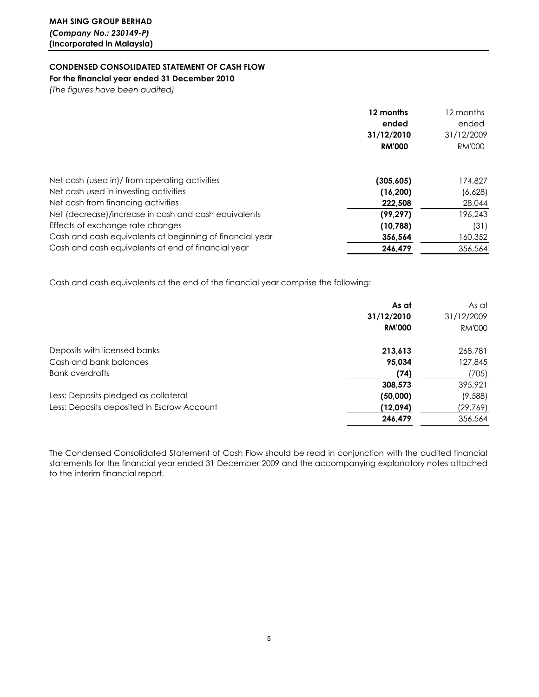**CONDENSED CONSOLIDATED STATEMENT OF CASH FLOW** 

For the financial year ended 31 December 2010

(The figures have been audited)

|                                                          | 12 months     | 12 months     |
|----------------------------------------------------------|---------------|---------------|
|                                                          | ended         | ended         |
|                                                          | 31/12/2010    | 31/12/2009    |
|                                                          | <b>RM'000</b> | <b>RM'000</b> |
| Net cash (used in)/ from operating activities            | (305, 605)    | 174,827       |
| Net cash used in investing activities                    | (16, 200)     | (6,628)       |
| Net cash from financing activities                       | 222,508       | 28,044        |
| Net (decrease)/increase in cash and cash equivalents     | (99, 297)     | 196,243       |
| Effects of exchange rate changes                         | (10,788)      | (31)          |
| Cash and cash equivalents at beginning of financial year | 356.564       | 160,352       |
| Cash and cash equivalents at end of financial year       | 246.479       | 356,564       |

Cash and cash equivalents at the end of the financial year comprise the following:

|                                            | As at         | As at         |
|--------------------------------------------|---------------|---------------|
|                                            | 31/12/2010    | 31/12/2009    |
|                                            | <b>RM'000</b> | <b>RM'000</b> |
| Deposits with licensed banks               | 213,613       | 268,781       |
| Cash and bank balances                     | 95.034        | 127,845       |
| Bank overdrafts                            | (74)          | (705)         |
|                                            | 308,573       | 395,921       |
| Less: Deposits pledged as collateral       | (50,000)      | (9,588)       |
| Less: Deposits deposited in Escrow Account | (12,094)      | (29,769)      |
|                                            | 246.479       | 356,564       |

The Condensed Consolidated Statement of Cash Flow should be read in conjunction with the audited financial statements for the financial year ended 31 December 2009 and the accompanying explanatory notes attached to the interim financial report.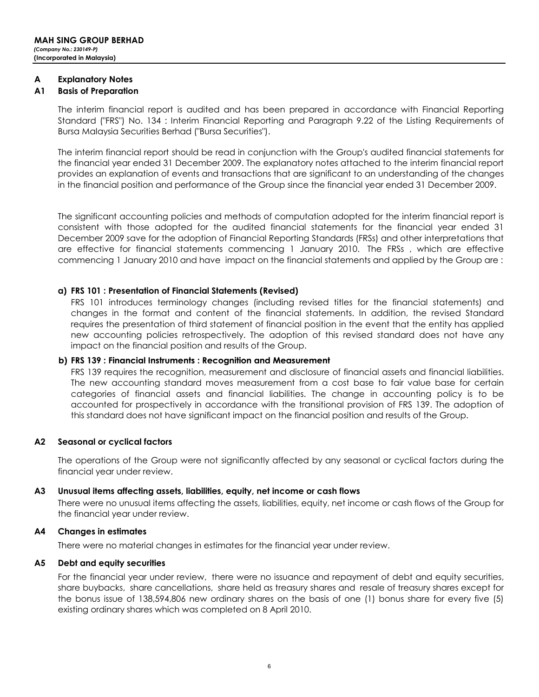#### A **Explanatory Notes**

#### A1 **Basis of Preparation**

The interim financial report is audited and has been prepared in accordance with Financial Reporting Standard ("FRS") No. 134 : Interim Financial Reporting and Paragraph 9.22 of the Listing Requirements of Bursa Malaysia Securities Berhad ("Bursa Securities").

The interim financial report should be read in conjunction with the Group's audited financial statements for the financial year ended 31 December 2009. The explanatory notes attached to the interim financial report provides an explanation of events and transactions that are significant to an understanding of the changes in the financial position and performance of the Group since the financial year ended 31 December 2009.

The significant accounting policies and methods of computation adopted for the interim financial report is consistent with those adopted for the audited financial statements for the financial year ended 31 December 2009 save for the adoption of Financial Reporting Standards (FRSs) and other interpretations that are effective for financial statements commencing 1 January 2010. The FRSs, which are effective commencing 1 January 2010 and have impact on the financial statements and applied by the Group are:

### a) FRS 101 : Presentation of Financial Statements (Revised)

FRS 101 introduces terminology changes (including revised titles for the financial statements) and changes in the format and content of the financial statements. In addition, the revised Standard requires the presentation of third statement of financial position in the event that the entity has applied new accounting policies retrospectively. The adoption of this revised standard does not have any impact on the financial position and results of the Group.

### b) FRS 139 : Financial Instruments : Recognition and Measurement

FRS 139 requires the recognition, measurement and disclosure of financial assets and financial liabilities. The new accounting standard moves measurement from a cost base to fair value base for certain categories of financial assets and financial liabilities. The change in accounting policy is to be accounted for prospectively in accordance with the transitional provision of FRS 139. The adoption of this standard does not have significant impact on the financial position and results of the Group.

### $A2$ Seasonal or cyclical factors

The operations of the Group were not significantly affected by any seasonal or cyclical factors during the financial year under review.

#### $A3$ Unusual items affecting assets, liabilities, equity, net income or cash flows

There were no unusual items affecting the assets, liabilities, equity, net income or cash flows of the Group for the financial year under review.

#### А4 **Changes in estimates**

There were no material changes in estimates for the financial year under review.

#### A5 Debt and equity securities

For the financial year under review, there were no issuance and repayment of debt and equity securities, share buybacks, share cancellations, share held as treasury shares and resale of treasury shares except for the bonus issue of 138,594,806 new ordinary shares on the basis of one (1) bonus share for every five (5) existing ordinary shares which was completed on 8 April 2010.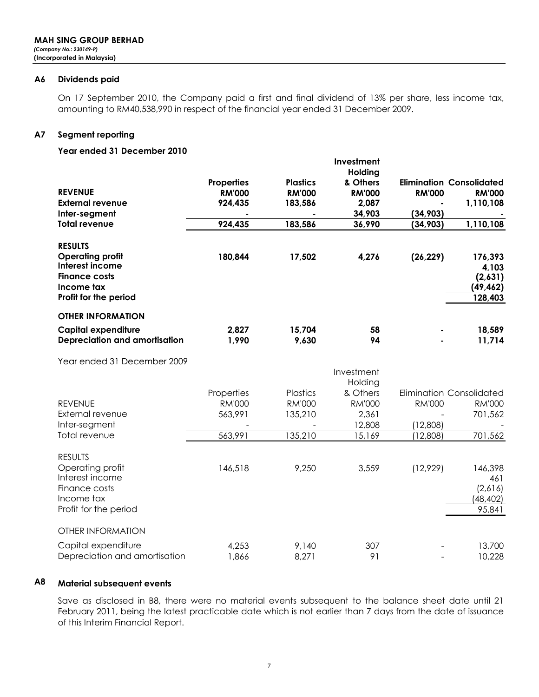#### A6 **Dividends paid**

On 17 September 2010, the Company paid a first and final dividend of 13% per share, less income tax, amounting to RM40,538,990 in respect of the financial year ended 31 December 2009.

#### Segment reporting **A7**

### Year ended 31 December 2010

| <b>REVENUE</b><br><b>External revenue</b><br>Inter-segment                                                                  | <b>Properties</b><br><b>RM'000</b><br>924,435 | <b>Plastics</b><br><b>RM'000</b><br>183,586 | Investment<br>Holding<br>& Others<br><b>RM'000</b><br>2,087<br>34,903 | <b>RM'000</b><br>(34, 903) | <b>Elimination Consolidated</b><br><b>RM'000</b><br>1,110,108 |
|-----------------------------------------------------------------------------------------------------------------------------|-----------------------------------------------|---------------------------------------------|-----------------------------------------------------------------------|----------------------------|---------------------------------------------------------------|
| <b>Total revenue</b>                                                                                                        | 924,435                                       | 183,586                                     | 36,990                                                                | (34, 903)                  | 1,110,108                                                     |
| <b>RESULTS</b><br><b>Operating profit</b><br>Interest income<br><b>Finance costs</b><br>Income tax<br>Profit for the period | 180,844                                       | 17,502                                      | 4,276                                                                 | (26, 229)                  | 176,393<br>4,103<br>(2,631)<br>(49, 462)<br>128,403           |
| <b>OTHER INFORMATION</b>                                                                                                    |                                               |                                             |                                                                       |                            |                                                               |
| <b>Capital expenditure</b><br>Depreciation and amortisation                                                                 | 2,827<br>1,990                                | 15,704<br>9,630                             | 58<br>94                                                              |                            | 18,589<br>11,714                                              |
| Year ended 31 December 2009                                                                                                 |                                               |                                             |                                                                       |                            |                                                               |
|                                                                                                                             |                                               |                                             | Investment<br>Holding                                                 |                            |                                                               |
|                                                                                                                             | Properties                                    | Plastics                                    | & Others                                                              |                            | <b>Elimination Consolidated</b>                               |
| <b>REVENUE</b>                                                                                                              | <b>RM'000</b>                                 | <b>RM'000</b>                               | <b>RM'000</b>                                                         | <b>RM'000</b>              | <b>RM'000</b>                                                 |
| External revenue<br>Inter-segment                                                                                           | 563,991                                       | 135,210                                     | 2,361<br>12,808                                                       | (12,808)                   | 701,562                                                       |
| Total revenue                                                                                                               | 563,991                                       | 135,210                                     | 15,169                                                                | (12,808)                   | 701,562                                                       |
| <b>RESULTS</b>                                                                                                              |                                               |                                             |                                                                       |                            |                                                               |
| Operating profit<br>Interest income                                                                                         | 146,518                                       | 9,250                                       | 3,559                                                                 | (12,929)                   | 146,398<br>461                                                |
| Finance costs<br>Income tax<br>Profit for the period                                                                        |                                               |                                             |                                                                       |                            | (2,616)<br>(48, 402)<br>95,841                                |
| <b>OTHER INFORMATION</b>                                                                                                    |                                               |                                             |                                                                       |                            |                                                               |
| Capital expenditure<br>Depreciation and amortisation                                                                        | 4,253<br>1,866                                | 9,140<br>8,271                              | 307<br>91                                                             |                            | 13,700<br>10,228                                              |

### A<sub>8</sub> **Material subsequent events**

Save as disclosed in B8, there were no material events subsequent to the balance sheet date until 21 February 2011, being the latest practicable date which is not earlier than 7 days from the date of issuance of this Interim Financial Report.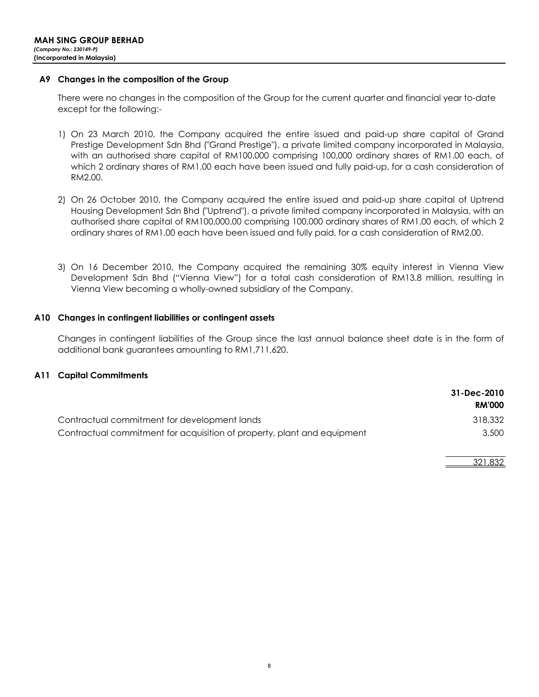### A9 Changes in the composition of the Group

There were no changes in the composition of the Group for the current guarter and financial year to-date except for the following:-

- 1) On 23 March 2010, the Company acquired the entire issued and paid-up share capital of Grand Prestige Development Sdn Bhd ("Grand Prestige"), a private limited company incorporated in Malaysia, with an authorised share capital of RM100,000 comprising 100,000 ordinary shares of RM1.00 each, of which 2 ordinary shares of RM1.00 each have been issued and fully paid-up, for a cash consideration of RM2.00.
- 2) On 26 October 2010, the Company acquired the entire issued and paid-up share capital of Uptrend Housing Development Sdn Bhd ("Uptrend"), a private limited company incorporated in Malaysia, with an authorised share capital of RM100,000.00 comprising 100,000 ordinary shares of RM1.00 each, of which 2 ordinary shares of RM1.00 each have been issued and fully paid, for a cash consideration of RM2.00.
- 3) On 16 December 2010, the Company acquired the remaining 30% equity interest in Vienna View Development Sdn Bhd ("Vienna View") for a total cash consideration of RM13.8 million, resulting in Vienna View becoming a wholly-owned subsidiary of the Company.

### A10 Changes in contingent liabilities or contingent assets

Changes in contingent liabilities of the Group since the last annual balance sheet date is in the form of additional bank quarantees amounting to RM1,711,620.

### **A11 Capital Commitments**

|                                                                         | 31-Dec-2010<br><b>RM'000</b> |
|-------------------------------------------------------------------------|------------------------------|
| Contractual commitment for development lands                            | 318,332                      |
| Contractual commitment for acquisition of property, plant and equipment | 3,500                        |

321.832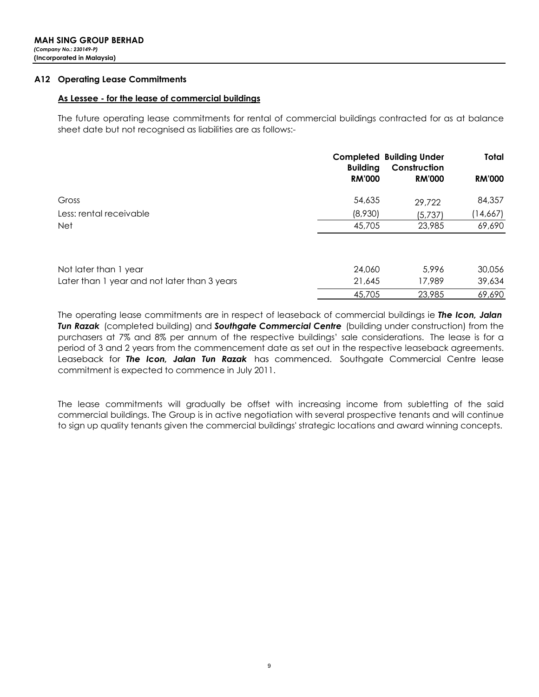### **A12 Operating Lease Commitments**

### As Lessee - for the lease of commercial buildings

The future operating lease commitments for rental of commercial buildings contracted for as at balance sheet date but not recognised as liabilities are as follows:-

|                                              | <b>Building</b> | <b>Completed Building Under</b><br>Construction | Total         |
|----------------------------------------------|-----------------|-------------------------------------------------|---------------|
|                                              | <b>RM'000</b>   | <b>RM'000</b>                                   | <b>RM'000</b> |
| Gross                                        | 54,635          | 29,722                                          | 84,357        |
| Less: rental receivable                      | (8,930)         | (5,737)                                         | (14,667)      |
| <b>Net</b>                                   | 45,705          | 23,985                                          | 69,690        |
| Not later than 1 year                        | 24,060          | 5.996                                           | 30,056        |
| Later than 1 year and not later than 3 years | 21,645          | 17,989                                          | 39,634        |
|                                              | 45,705          | 23,985                                          | 69,690        |

The operating lease commitments are in respect of leaseback of commercial buildings ie The Icon, Jalan Tun Razak (completed building) and Southgate Commercial Centre (building under construction) from the purchasers at 7% and 8% per annum of the respective buildings' sale considerations. The lease is for a period of 3 and 2 years from the commencement date as set out in the respective leaseback agreements. Leaseback for The Icon, Jalan Tun Razak has commenced. Southgate Commercial Centre lease commitment is expected to commence in July 2011.

The lease commitments will gradually be offset with increasing income from subletting of the said commercial buildings. The Group is in active negotiation with several prospective tenants and will continue to sign up quality tenants given the commercial buildings' strategic locations and award winning concepts.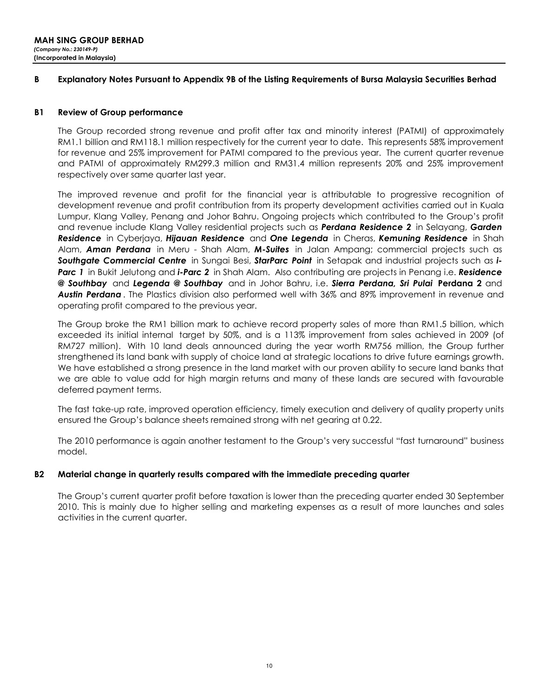#### B Explanatory Notes Pursuant to Appendix 9B of the Listing Requirements of Bursa Malaysia Securities Berhad

#### **B1 Review of Group performance**

The Group recorded strong revenue and profit after tax and minority interest (PATMI) of approximately RM1.1 billion and RM118.1 million respectively for the current year to date. This represents 58% improvement for revenue and 25% improvement for PATMI compared to the previous year. The current quarter revenue and PATMI of approximately RM299.3 million and RM31.4 million represents 20% and 25% improvement respectively over same quarter last year.

The improved revenue and profit for the financial year is attributable to progressive recognition of development revenue and profit contribution from its property development activities carried out in Kuala Lumpur, Klang Valley, Penang and Johor Bahru. Ongoing projects which contributed to the Group's profit and revenue include Klang Valley residential projects such as **Perdana Residence 2** in Selayang, Garden Residence in Cyberjaya, Hijauan Residence and One Legenda in Cheras, Kemuning Residence in Shah Alam, **Aman Perdana** in Meru - Shah Alam, M-Suites in Jalan Ampang; commercial projects such as Southgate Commercial Centre in Sungai Besi, StarParc Point in Setapak and industrial projects such as i-Parc 1 in Bukit Jelutong and i-Parc 2 in Shah Alam. Also contributing are projects in Penang i.e. Residence @ Southbay and Legenda @ Southbay and in Johor Bahru, i.e. Sierra Perdana, Sri Pulai Perdana 2 and Austin Perdana. The Plastics division also performed well with 36% and 89% improvement in revenue and operating profit compared to the previous year.

The Group broke the RM1 billion mark to achieve record property sales of more than RM1.5 billion, which exceeded its initial internal target by 50%, and is a 113% improvement from sales achieved in 2009 (of RM727 million). With 10 land deals announced during the year worth RM756 million, the Group further strengthened its land bank with supply of choice land at strategic locations to drive future earnings growth. We have established a strong presence in the land market with our proven ability to secure land banks that we are able to value add for high margin returns and many of these lands are secured with favourable deferred payment terms.

The fast take-up rate, improved operation efficiency, timely execution and delivery of quality property units ensured the Group's balance sheets remained strong with net gearing at 0.22.

The 2010 performance is again another testament to the Group's very successful "fast turnaround" business model.

### **B2** Material change in quarterly results compared with the immediate preceding quarter

The Group's current quarter profit before taxation is lower than the preceding quarter ended 30 September 2010. This is mainly due to higher selling and marketing expenses as a result of more launches and sales activities in the current quarter.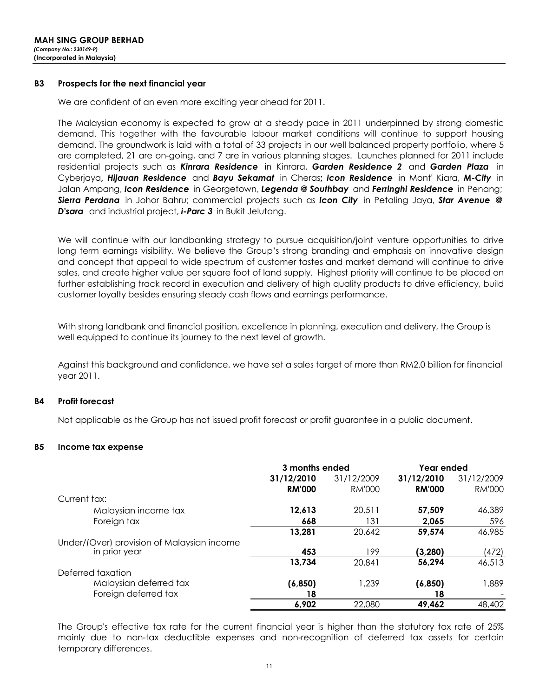#### **B3** Prospects for the next financial year

We are confident of an even more exciting year ahead for 2011.

The Malaysian economy is expected to grow at a steady pace in 2011 underpinned by strong domestic demand. This together with the favourable labour market conditions will continue to support housing demand. The groundwork is laid with a total of 33 projects in our well balanced property portfolio, where 5 are completed, 21 are on-going, and 7 are in various planning stages. Launches planned for 2011 include residential projects such as Kinrara Residence in Kinrara, Garden Residence 2 and Garden Plaza in Cyberjaya, Hijauan Residence and Bayu Sekamat in Cheras; Icon Residence in Mont' Kiara, M-City in Jalan Ampang, Icon Residence in Georgetown, Legenda @ Southbay and Ferringhi Residence in Penang; Sierra Perdana in Johor Bahru; commercial projects such as Icon City in Petaling Jaya, Star Avenue @ **D'sara** and industrial project, **i-Parc 3** in Bukit Jelutong.

We will continue with our landbanking strategy to pursue acquisition/joint venture opportunities to drive long term earnings visibility. We believe the Group's strong branding and emphasis on innovative design and concept that appeal to wide spectrum of customer tastes and market demand will continue to drive sales, and create higher value per square foot of land supply. Highest priority will continue to be placed on further establishing track record in execution and delivery of high quality products to drive efficiency, build customer loyalty besides ensuring steady cash flows and earnings performance.

With strong landbank and financial position, excellence in planning, execution and delivery, the Group is well equipped to continue its journey to the next level of growth.

Against this background and confidence, we have set a sales target of more than RM2.0 billion for financial year 2011.

#### **B4 Profit forecast**

Not applicable as the Group has not issued profit forecast or profit guarantee in a public document.

#### **B5** Income tax expense

|                                            | 3 months ended |            | Year ended    |               |
|--------------------------------------------|----------------|------------|---------------|---------------|
|                                            | 31/12/2010     | 31/12/2009 | 31/12/2010    | 31/12/2009    |
|                                            | <b>RM'000</b>  | RM'000     | <b>RM'000</b> | <b>RM'000</b> |
| Current tax:                               |                |            |               |               |
| Malaysian income tax                       | 12,613         | 20.511     | 57.509        | 46,389        |
| Foreign tax                                | 668            | 131        | 2,065         | 596           |
|                                            | 13,281         | 20,642     | 59,574        | 46,985        |
| Under/(Over) provision of Malaysian income |                |            |               |               |
| in prior year                              | 453            | 199        | (3, 280)      | (472)         |
|                                            | 13,734         | 20,841     | 56.294        | 46,513        |
| Deferred taxation                          |                |            |               |               |
| Malaysian deferred tax                     | (6, 850)       | 1,239      | (6, 850)      | 1,889         |
| Foreign deferred tax                       | 18             |            | 18            |               |
|                                            | 6,902          | 22,080     | 49,462        | 48,402        |

The Group's effective tax rate for the current financial year is higher than the statutory tax rate of 25% mainly due to non-tax deductible expenses and non-recognition of deferred tax assets for certain temporary differences.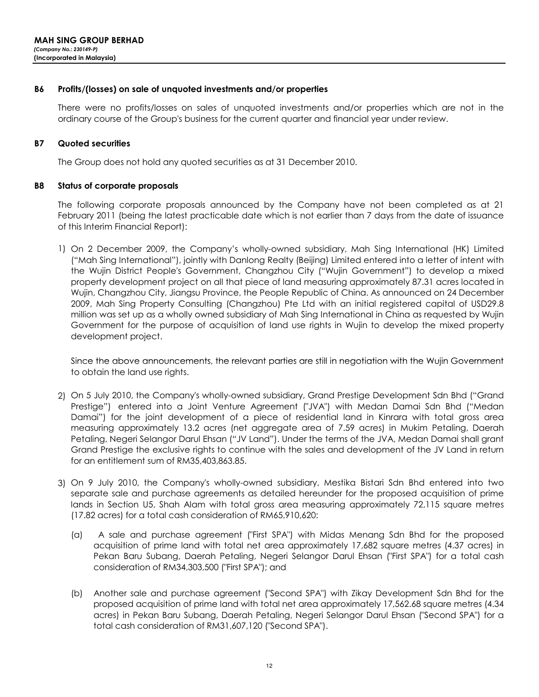#### **B6** Profits/(losses) on sale of unquoted investments and/or properties

There were no profits/losses on sales of unquoted investments and/or properties which are not in the ordinary course of the Group's business for the current quarter and financial year under review.

#### **B7 Quoted securities**

The Group does not hold any quoted securities as at 31 December 2010.

#### **B8** Status of corporate proposals

The following corporate proposals announced by the Company have not been completed as at 21 February 2011 (being the latest practicable date which is not earlier than 7 days from the date of issuance of this Interim Financial Report):

1) On 2 December 2009, the Company's wholly-owned subsidiary, Mah Sing International (HK) Limited ("Mah Sing International"), jointly with Danlong Realty (Beijing) Limited entered into a letter of intent with the Wujin District People's Government, Changzhou City ("Wujin Government") to develop a mixed property development project on all that piece of land measuring approximately 87.31 acres located in Wujin, Changzhou City, Jiangsu Province, the People Republic of China. As announced on 24 December 2009, Mah Sing Property Consulting (Changzhou) Pte Ltd with an initial registered capital of USD29.8 million was set up as a wholly owned subsidiary of Mah Sing International in China as requested by Wujin Government for the purpose of acquisition of land use rights in Wujin to develop the mixed property development project.

Since the above announcements, the relevant parties are still in negotiation with the Wujin Government to obtain the land use rights.

- 2) On 5 July 2010, the Company's wholly-owned subsidiary, Grand Prestige Development Sdn Bhd ("Grand Prestige") entered into a Joint Venture Agreement ("JVA") with Medan Damai Sdn Bhd ("Medan Damai") for the joint development of a piece of residential land in Kinrara with total gross area measuring approximately 13.2 acres (net aggregate area of 7.59 acres) in Mukim Petaling, Daerah Petaling, Negeri Selangor Darul Ehsan ("JV Land"). Under the terms of the JVA, Medan Damai shall grant Grand Prestige the exclusive rights to continue with the sales and development of the JV Land in return for an entitlement sum of RM35,403,863.85.
- 3) On 9 July 2010, the Company's wholly-owned subsidiary, Mestika Bistari Sdn Bhd entered into two separate sale and purchase agreements as detailed hereunder for the proposed acquisition of prime lands in Section U5, Shah Alam with total gross area measuring approximately 72,115 square metres (17.82 acres) for a total cash consideration of RM65,910,620:
	- A sale and purchase agreement ("First SPA") with Midas Menang Sdn Bhd for the proposed  $(\alpha)$ acquisition of prime land with total net area approximately 17,682 square metres (4.37 acres) in Pekan Baru Subang, Daerah Petaling, Negeri Selangor Darul Ehsan ("First SPA") for a total cash consideration of RM34,303,500 ("First SPA"); and
	- (b) Another sale and purchase agreement ("Second SPA") with Zikay Development Sdn Bhd for the proposed acquisition of prime land with total net area approximately 17,562.68 square metres (4.34 acres) in Pekan Baru Subang, Daerah Petaling, Negeri Selangor Darul Ehsan ("Second SPA") for a total cash consideration of RM31,607,120 ("Second SPA").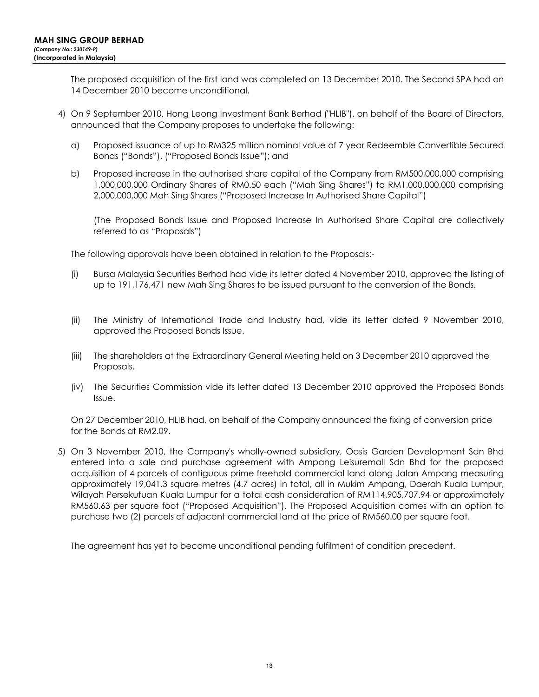The proposed acquisition of the first land was completed on 13 December 2010. The Second SPA had on 14 December 2010 become unconditional.

- 4) On 9 September 2010, Hong Leong Investment Bank Berhad ("HLIB"), on behalf of the Board of Directors, announced that the Company proposes to undertake the following:
	- Proposed issuance of up to RM325 million nominal value of 7 year Redeemble Convertible Secured a) Bonds ("Bonds"), ("Proposed Bonds Issue"); and
	- b) Proposed increase in the authorised share capital of the Company from RM500,000,000 comprising 1,000,000,000 Ordinary Shares of RM0.50 each ("Mah Sing Shares") to RM1,000,000,000 comprising 2,000,000,000 Mah Sing Shares ("Proposed Increase In Authorised Share Capital")

(The Proposed Bonds Issue and Proposed Increase In Authorised Share Capital are collectively referred to as "Proposals")

The following approvals have been obtained in relation to the Proposals:-

- $(i)$ Bursa Malaysia Securities Berhad had vide its letter dated 4 November 2010, approved the listing of up to 191,176,471 new Mah Sing Shares to be issued pursuant to the conversion of the Bonds.
- $(ii)$ The Ministry of International Trade and Industry had, vide its letter dated 9 November 2010, approved the Proposed Bonds Issue.
- The shareholders at the Extraordinary General Meeting held on 3 December 2010 approved the (iii) Proposals.
- (iv) The Securities Commission vide its letter dated 13 December 2010 approved the Proposed Bonds Issue.

On 27 December 2010, HLIB had, on behalf of the Company announced the fixing of conversion price for the Bonds at RM2.09.

5) On 3 November 2010, the Company's wholly-owned subsidiary, Oasis Garden Development Sdn Bhd entered into a sale and purchase agreement with Ampang Leisuremall Sdn Bhd for the proposed acquisition of 4 parcels of contiguous prime freehold commercial land along Jalan Ampang measuring approximately 19,041.3 square metres (4.7 acres) in total, all in Mukim Ampang, Daerah Kuala Lumpur, Wilayah Persekutuan Kuala Lumpur for a total cash consideration of RM114,905,707.94 or approximately RM560.63 per square foot ("Proposed Acquisition"). The Proposed Acquisition comes with an option to purchase two (2) parcels of adjacent commercial land at the price of RM560.00 per square foot.

The agreement has yet to become unconditional pending fulfilment of condition precedent.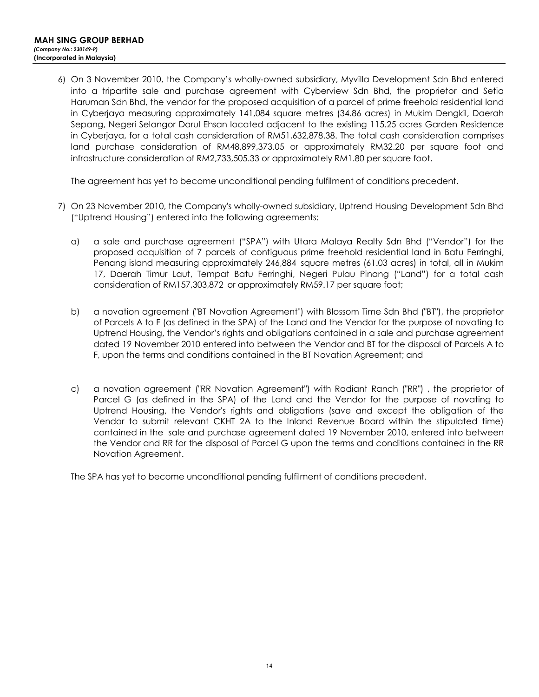6) On 3 November 2010, the Company's wholly-owned subsidiary, Myvilla Development Sdn Bhd entered into a tripartite sale and purchase agreement with Cyberview Sdn Bhd, the proprietor and Setia Haruman Sdn Bhd, the vendor for the proposed acquisition of a parcel of prime freehold residential land in Cyberjaya measuring approximately 141,084 square metres (34.86 acres) in Mukim Dengkil, Daerah Sepang, Negeri Selangor Darul Ehsan located adjacent to the existing 115.25 acres Garden Residence in Cyberjaya, for a total cash consideration of RM51,632,878.38. The total cash consideration comprises land purchase consideration of RM48,899,373.05 or approximately RM32.20 per square foot and infrastructure consideration of RM2,733,505.33 or approximately RM1.80 per square foot.

The agreement has yet to become unconditional pending fulfilment of conditions precedent.

- 7) On 23 November 2010, the Company's wholly-owned subsidiary, Uptrend Housing Development Sdn Bhd ("Uptrend Housing") entered into the following agreements:
	- $\alpha$ a sale and purchase agreement ("SPA") with Utara Malaya Realty Sdn Bhd ("Vendor") for the proposed acquisition of 7 parcels of contiguous prime freehold residential land in Batu Ferringhi, Penang island measuring approximately 246,884 square metres (61.03 acres) in total, all in Mukim 17, Daerah Timur Laut, Tempat Batu Ferringhi, Negeri Pulau Pinang ("Land") for a total cash consideration of RM157,303,872 or approximately RM59.17 per square foot;
	- a novation agreement ("BT Novation Agreement") with Blossom Time Sdn Bhd ("BT"), the proprietor b) of Parcels A to F (as defined in the SPA) of the Land and the Vendor for the purpose of novating to Uptrend Housing, the Vendor's rights and obligations contained in a sale and purchase agreement dated 19 November 2010 entered into between the Vendor and BT for the disposal of Parcels A to F, upon the terms and conditions contained in the BT Novation Agreement; and
	- $\mathsf{C}$ a novation agreement ("RR Novation Agreement") with Radiant Ranch ("RR"), the proprietor of Parcel G (as defined in the SPA) of the Land and the Vendor for the purpose of novating to Uptrend Housing, the Vendor's rights and obligations (save and except the obligation of the Vendor to submit relevant CKHT 2A to the Inland Revenue Board within the stipulated time) contained in the sale and purchase agreement dated 19 November 2010, entered into between the Vendor and RR for the disposal of Parcel G upon the terms and conditions contained in the RR Novation Agreement.

The SPA has yet to become unconditional pending fulfilment of conditions precedent.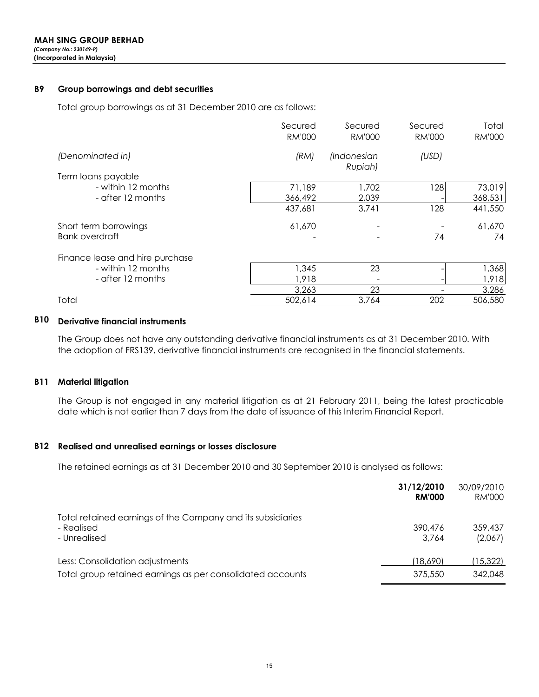#### **B9** Group borrowings and debt securities

Total group borrowings as at 31 December 2010 are as follows:

|                                 | Secured<br><b>RM'000</b> | Secured<br><b>RM'000</b>      | Secured<br><b>RM'000</b> | Total<br><b>RM'000</b> |
|---------------------------------|--------------------------|-------------------------------|--------------------------|------------------------|
| (Denominated in)                | (RM)                     | <i>(Indonesian</i><br>Rupiah) | (USD)                    |                        |
| Term loans payable              |                          |                               |                          |                        |
| - within 12 months              | 71,189                   | 1,702                         | 128                      | 73,019                 |
| - after 12 months               | 366,492                  | 2,039                         |                          | 368,531                |
|                                 | 437,681                  | 3,741                         | 128                      | 441,550                |
| Short term borrowings           | 61,670                   |                               |                          | 61,670                 |
| <b>Bank overdraft</b>           |                          |                               | 74                       | 74                     |
| Finance lease and hire purchase |                          |                               |                          |                        |
| - within 12 months              | 1,345                    | 23                            |                          | 1,368                  |
| - after 12 months               | 1,918                    |                               |                          | 1,918                  |
|                                 | 3,263                    | 23                            |                          | 3,286                  |
| Total                           | 502,614                  | 3.764                         | 202                      | 506,580                |

## **B10** Derivative financial instruments

The Group does not have any outstanding derivative financial instruments as at 31 December 2010. With the adoption of FRS139, derivative financial instruments are recognised in the financial statements.

### **B11 Material litigation**

The Group is not engaged in any material litigation as at 21 February 2011, being the latest practicable date which is not earlier than 7 days from the date of issuance of this Interim Financial Report.

### **B12** Realised and unrealised earnings or losses disclosure

The retained earnings as at 31 December 2010 and 30 September 2010 is analysed as follows:

| 31/12/2010    | 30/09/2010 |
|---------------|------------|
| <b>RM'000</b> | RM'000     |
| 390,476       | 359.437    |
| 3.764         | (2,067)    |
| (18.690)      | (15,322)   |
| 375,550       | 342,048    |
|               |            |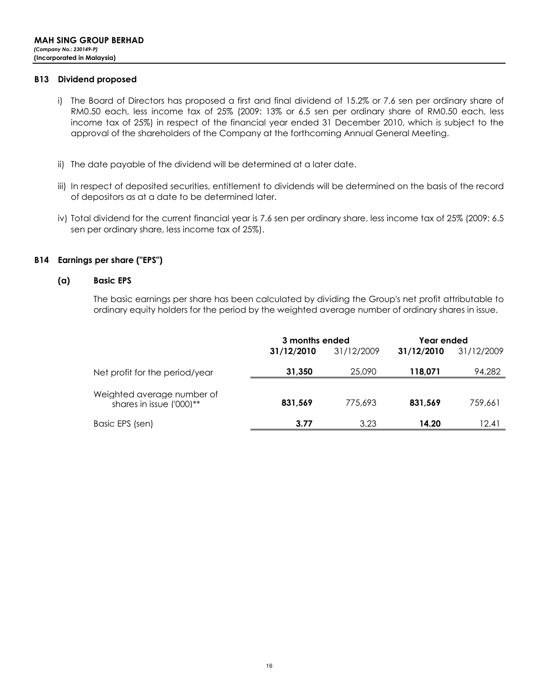### **B13** Dividend proposed

- i) The Board of Directors has proposed a first and final dividend of 15.2% or 7.6 sen per ordinary share of RM0.50 each, less income tax of 25% (2009: 13% or 6.5 sen per ordinary share of RM0.50 each, less income tax of 25%) in respect of the financial year ended 31 December 2010, which is subject to the approval of the shareholders of the Company at the forthcoming Annual General Meeting.
- ii) The date payable of the dividend will be determined at a later date.
- iii) In respect of deposited securities, entitlement to dividends will be determined on the basis of the record of depositors as at a date to be determined later.
- iv) Total dividend for the current financial year is 7.6 sen per ordinary share, less income tax of 25% (2009: 6.5 sen per ordinary share, less income tax of 25%).

### **B14** Earnings per share ("EPS")

#### $(a)$ **Basic EPS**

The basic earnings per share has been calculated by dividing the Group's net profit attributable to ordinary equity holders for the period by the weighted average number of ordinary shares in issue.

|                                                        | 3 months ended |            | Year ended |            |
|--------------------------------------------------------|----------------|------------|------------|------------|
|                                                        | 31/12/2010     | 31/12/2009 | 31/12/2010 | 31/12/2009 |
| Net profit for the period/year                         | 31,350         | 25,090     | 118,071    | 94,282     |
| Weighted average number of<br>shares in issue ('000)** | 831.569        | 775,693    | 831.569    | 759,661    |
| Basic EPS (sen)                                        | 3.77           | 3.23       | 14.20      | 12.41      |